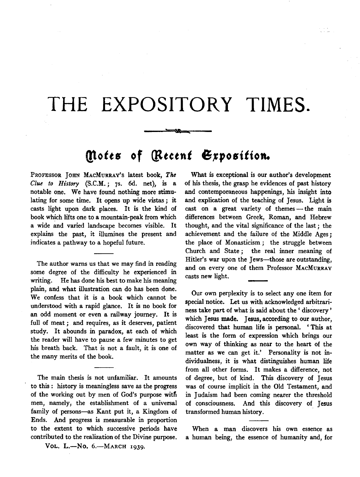## **THE EXPOSITORY TIMES.**

## *(ltotts* **of** *(lttetnt* **6,Jposittoft.**

55

PROFESSOR JOHN MAcMuRRAY's latest book, *The Clue to History* (S.C.M. ; 7s. 6d. net), is a notable one. We have found nothing more stimulating for some time. It opens up wide vistas; it casts light upon dark places. It is the kind of book which lifts one to a mountain-peak from which a wide and varied landscape becomes visible. It explains the past, it illumines the present and indicates a pathway to a hopeful future.

The author warns us that we may find in reading some degree of the difficulty he experienced in writing. He has done his best to make his meaning plain, and what illustration can do has been done. We confess that it is a book which cannot be understood with a rapid glance. It is no book for an odd moment or even a railway journey. It is full of meat; and requires, as it deserves, patient study. It abounds in paradox, at each of which the reader will have to pause a few minutes to get his breath back. That is not a fault, it is one of the many merits of the book.

The main thesis is not unfamiliar. It amounts to this : history is meaningless save as the progress of the working out by men of God's purpose witfi men, namely, the establishment of a universal family of persons-as Kant put it, a Kingdom of Ends. And progress is measurable in proportion to the extent to which successive periods have contributed to the realization of the Divine purpose.

VOL. L.-No. 6.-MARCH 1939.

What is exceptional is our author's development of his thesis, the grasp he evidences of past history and contemporaneous happenings, his insight into and explication of the teaching of Jesus. Light is cast on a great variety of themes - the main differences between Greek, Roman, and Hebrew thought, and the vital significance of the last ; the achievement and the failure of the Middle Ages *;*  the place of Monasticism ; the struggle between Church and State ; the real inner meaning of Hitler's war upon the Jews---those are outstanding, and on every one of them Professor MAcMURRAY casts new light.

Our own perplexity is to select any one item for special notice. Let us with acknowledged arbitrariness take part of what is said about the ' discovery ' which Jesus made. Jesus, according to our author, discovered that human life is personal. ' This at least is the form of expression which brings our own way of thinking as near to the heart of the matter as we can get it.' Personality is not individualness, it is what distinguishes human life from all other forms. It makes a difference, not of degree, but of kind. This discovery of Jesus was of course implicit in the Old Testament, and in Judaism had been coming nearer the threshold of consciousness. And this discovery of Jesus transformed human history.

When a man discovers his own essence as a human being, the essence of humanity and, for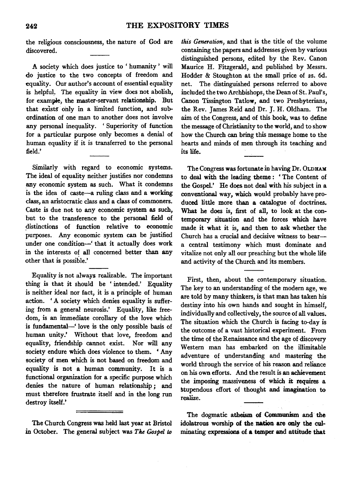the religious consciousness, the nature of God are discovered.

A society which does justice to ' humanity ' will do justice to the two concepts of freedom and equality. Our author's account of essential equality is helpful. The equality in view does not abolish, for example, the master-servant relationship. But that exists only in a limited function, and subordination of one man to another does not involve any personal inequality. 'Superiority of function for a particular purpose only becomes a denial of human equality if it is transferred to the personal field.'

Similarly with regard to economic systems. The ideal of equality neither justifies nor condemns any economic system as such. What it condemns is the idea of caste-a ruling class and a working class, an aristocratic class and a class of commoners. Caste is due not to any economic system as such, but to the transference to the personal field of distinctions of function relative to economic purposes. Any economic system can be justified under one condition-' that it actually does work in the interests of all concerned better than any other that is possible.'

Equality is not always realizable. The important thing is that it should be ' intended.' Equality is neither ideal nor fact, it is a principle of human action. ' A society which denies equality is suffering from a general neurosis.' Equality, like freedom, is an immediate corollary of the love which is fundamental-' love is the only possible basis of human unity.' Without that love, freedom and equality, friendship cannot exist. Nor will any society endure which does violence to them. ' Any society of men which is not based on freedom and equality is not a human community. It is a functional organization for a specific purpose which denies the nature of human relationship ; and must therefore frustrate itself and in the long run destroy itself.'

The Church Congress was held last year at Bristol in October. The general subject was *The Gospel* to

*this Generation,* and that is the title of the volume containing the papers and addresses given by various distinguished persons, edited by the Rev. Canon Maurice H. Fitzgerald, and published by Messrs. Hodder & Stoughton at the small price of 2s. 6d. net. The distinguished persons referred to above included the two Archbishops, the Dean of St. Paul's, Canon Tissington Tatlow, and two Presbyterians, the Rev. James Reid and Dr. J. H. Oldham. The aim of the Congress, and of this book, was to define the message of Christianity to the world, and to show how the Church can bring this message home to the hearts and minds of men through its teaching and its life.

The Congress was fortunate in having Dr. OLDHAM to deal with the leading theme : ' The Content of the Gospel.' He does not deal with his subject in a conventional way, which would probably have produced little more than a catalogue of doctrines. What he does is, first of all, to look at the contemporary situation and the forces which have made it what it is, and then to ask whether the Church has a crucial and decisive witness to beara central testimony which must dominate and vitalize not only all our preaching but the whole life and activity of the Church and its members.

First, then, about the contemporary situation. The key to an understanding of the modern age, we are told by many thinkers, is that man has taken his destiny into his own hands and sought in himself, individually and collectively, the source of all values. The situation which the Church is facing to-day is the outcome of a vast historical experiment. From the time of the Renaissance and the age of discovery Western man has embarked on the illimitable adventure of understanding and mastering the world through the service of his reason and reliance on his own efforts. And the result is an achievement the imposing massiveness of which it requires a stupendous effort of thought and imagination to realize.

The dogmatic atheism of Communism and· the idolatrous worship of the nation are only the culminating expressions of a temper and attitude that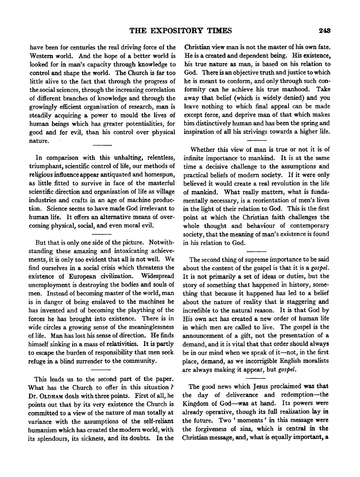have been for centuries the real driving force of the Western world. And the hope of a better world is looked for in man's capacity through knowledge to control and shape the world. The Church is far too little alive to the fact that through the progress of the social sciences, through the increasing correlation of different branches of knowledge and through the growingly efficient organisation of research, man is steadily acquiring a power to mould the lives of human beings which has greater potentialities, for good and for evil, than his control over physical nature.

In comparison with this unhalting, relentless, triumphant, scientific control of life, our methods of religious influence appear antiquated and homespun, as little fitted to survive in face of the masterful scientific direction and organization of life as village industries and crafts in an age of machine production. Science seems to have made God irrelevant to human life. It offers an alternative means of overcoming physical, social, and even moral evil.

But that is only one side of the picture. Notwithstanding these amazing and intoxicating achievements, it is only too evident that all is not well. We find ourselves in a social crisis which threatens the existence of European civilization. Widespread unemployment is destroying the bodies and souls of men. Instead of becoming master of the world, man is in danger of being enslaved to the machines he has invented and of becoming the plaything of the forces he has brought into existence. There is in wide circles a growing sense of the meaninglessness of life. Man has lost his sense of direction. He finds himself sinking in a mass of relativities. It is partly to escape the burden of responsibility that men seek refuge in a blind surrender to the community.

This leads us to the second part of the paper. What has the Church to offer in this situation ? Dr. OLD HAM deals with three points. First of all, he points out that by its very existence the Church is committed to a view of the nature of man totally at variance with the assumptions of the self-reliant humanism which has created the modem world, with its splendours, its sickness, and its doubts. In the Christian view man is not the master of his own fate. He is a created and dependent being. His existence, his true nature as man, is based on his relation to God. There is an objective truth and justice to which he is meant to conform, and only through such conformity can he achieve his true manhood. Take away that belief (which is widely denied) and you leave nothing to which final appeal can be made except force, and deprive man of that which makes him distinctively human and has been the spring and inspiration of all his strivings towards a higher life.

Whether this view of man is true or not it is of infinite importance to mankind. It is at the same time a decisive challenge to the assumptions and practical beliefs of modem society. If it were only believed it would create a real revolution in the life of mankind. What really matters, what is fundamentally necessary, is a reorientation of men's lives in the light of their relation to God. This is the first point at which the Christian faith challenges the whole thought and behaviour of contemporary society, that the meaning of man's existence is found in his relation to God.

The second thing of supreme importance to be said about the content of the gospel is that it is a *gospel.*  It is not primarily a set of ideas or duties, but the story of something that happened in history, something that because it happened has led to a belief about the nature of reality that is staggering and incredible to the natural reason. It is that God by His own act has created a new order of human life in which men are·called to live. The gospel is the announcement of a gift, not the presentation of a demand, and it is vital that that order should always be in our mind when we speak of it-not, in the first place, demand, as we incorrigible English moralists are always making it appear, but *gospel.* 

The good news which Jesus proclaimed was that the day of deliverance and redemption-the Kingdom of God-was at hand. Its powers were already operative, though its full realization lay in the future. Two ' moments ' in this message were the forgiveness of sins, which is central in the Christian message, and, what is equally important, a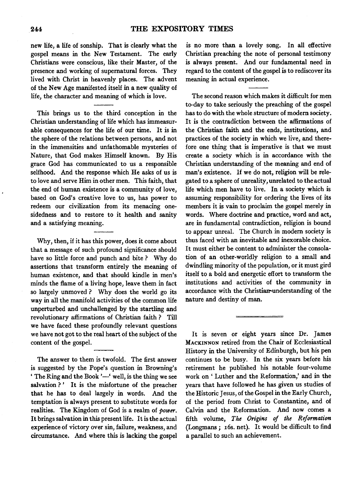new life, a life of sonship. That is clearly what the gospel means in the New Testament. The early Christians were conscious, like their Master, of the presence and working of supernatural forces. They lived with Christ in heavenly places. The advent of the New Age manifested itself in a new quality of life, the character and meaning of which is love.

This brings us to the third conception in the Christian understanding of life which has immeasurable consequences for the life of our time. It is in the sphere of the relations between persons, and not in the immensities and unfathomable mysteries of Nature, that God makes Himself known. By His grace God has communicated to us a responsible selfhood. And the response which He asks of us is to love and serve Him in other men. This faith, that the end of human existence is a community of love, based on God's creative love to us, has power to redeem our civilization from its menacing onesidedness and to restore to it health and sanity and a satisfying meaning.

Why, then, if it has this power, does it come about that a message of such profound significance should have so little force and punch and bite? Why do assertions that transform entirely the meaning of human existence, and that should kindle in men's minds the flame of a living hope, leave them in fact so largely unmoved ? Why does the world go its way in all the manifold activities of the common life unperturbed and unchallenged by the startling and revolutionary affirmations of Christian faith ? Till we have faced these profoundly relevant questions we have not got to the real heart of the subject of the content of the gospel.

The answer to them is twofold. The first answer is suggested by the Pope's question in Browning's ' The Ring and the Book '-' well, is the thing we see salvation ?' It is the misfortune of the preacher that he has to deal largely in words. And the temptation is always present to substitute words for realities. The Kingdom of God is a realm of *power.*  It brings salvation in this present life. It is the actual experience of victory over sin, failure, weakness, and circumstance. And where this is lacking the gospel

is no more than a lovely song. In all effective Christian preaching the note of personal testimony is always present. And our fundamental need in regard to the content of the gospel is to rediscover its meaning in actual experience.

The second reason which makes it difficult for men to-day to take seriously the preaching of the gospel has to do with the whole structure of modem society. It is the contradiction between the affirmations of the Christian faith and the ends, institutions, and practices of the society in which we live, and therefore one thing that is imperative is that we must create a society which is in accordance with the Christian understanding of the meaning and end of man's existence. If we do not, religion will be relegated to a sphere of unreality, unrelated to the actual life which men have to live. In a society which is assuming responsibility for ordering the lives of its members it is vain to proclaim the gospel merely in words. Where doctrine and practice, word and act, are in fundamental contradiction, religion is bound to appear unreal. The Church in modem society is thus faced with an inevitable and inexorable choice. It must either be content to administer the consolation of an other-worldly religion to a small and dwindling minority of the population, or it must gird itself to a bold and energetic effort to transform the institutions and activities of the community in accordance with the Christiarr-understanding of the nature and destiny of man.

It is seven or eight years since Dr. James MACKINNON retired from the Chair of Ecclesiastical History in the University of Edinburgh, but his pen continues to be busy. In the six years before his retirement he published his notable four-volume work on ' Luther and the Reformation,' and in the years that have followed he has given us studies of the Historic Jesus, of the Gospel in the Early Church, of the period from Christ to Constantine, and of Calvin and the Reformation. And now comes a fifth volume, *The Origins of the Reformation*  (Longmans; x6s. net). It would be difficult to find a parallel to such an achievement.